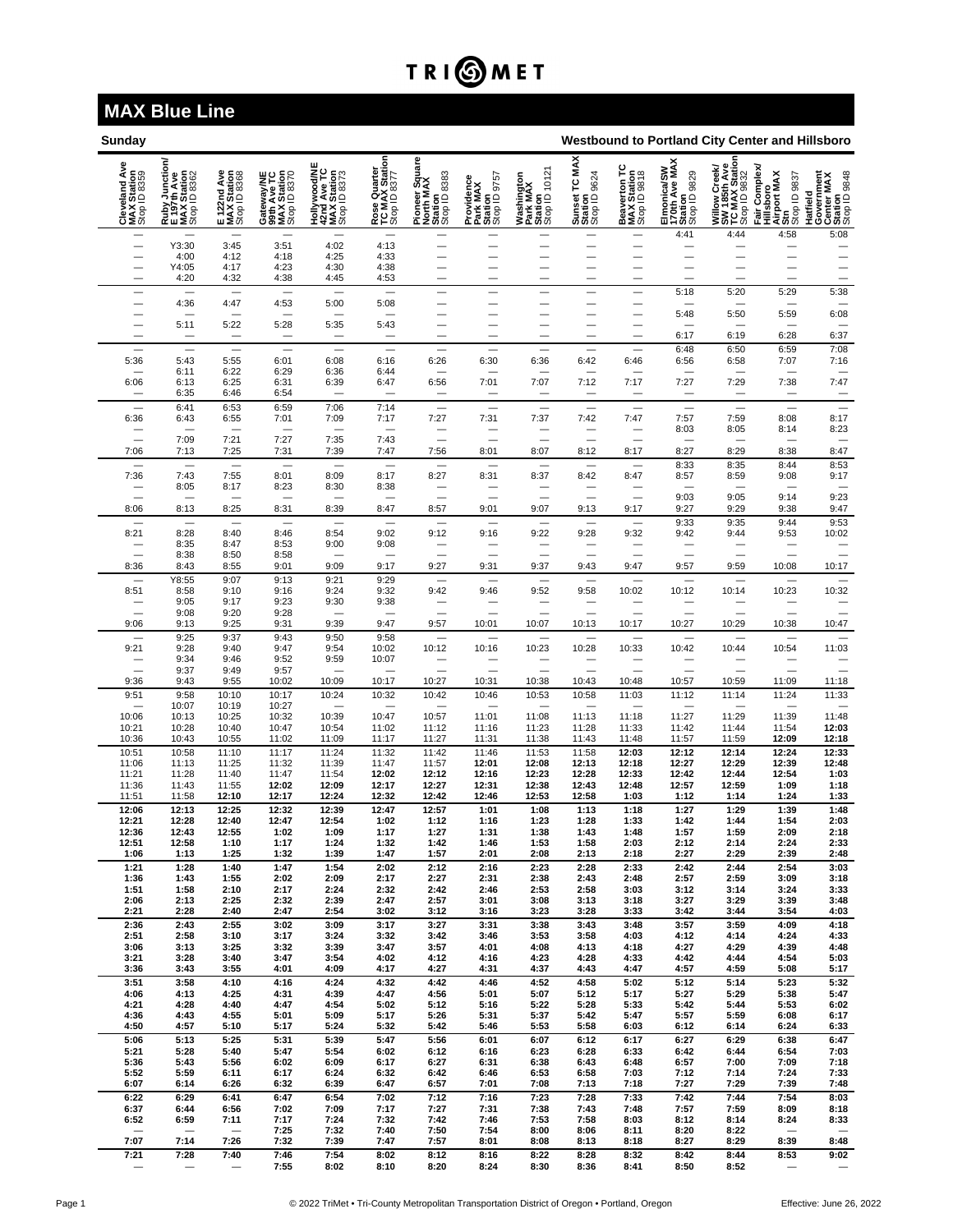## TRI**OMET**

## **MAX Blue Line**

| Sunday                                       | Westbound to Portland City Center and Hillsboro              |                                            |                                                          |                                                            |                                                |                                                        |                                                   |                                                    |                                          |                                             |                                                         |                                                                 |                                                                                     |                                                                 |
|----------------------------------------------|--------------------------------------------------------------|--------------------------------------------|----------------------------------------------------------|------------------------------------------------------------|------------------------------------------------|--------------------------------------------------------|---------------------------------------------------|----------------------------------------------------|------------------------------------------|---------------------------------------------|---------------------------------------------------------|-----------------------------------------------------------------|-------------------------------------------------------------------------------------|-----------------------------------------------------------------|
| Cleveland Ave<br>MAX Station<br>Stop ID 8359 | Ruby Junction/<br>E 197th Ave<br>MAX Station<br>Stop ID 8362 | E 122nd Ave<br>MAX Station<br>Stop ID 8368 | Gateway/NE<br>99th Ave TC<br>MAX Station<br>Stop ID 8370 | Hollywood/NE<br>42nd Ave TC<br>MAX Station<br>Stop ID 8373 | Rose Quarter<br>TC MAX Station<br>Stop ID 8377 | Pioneer Square<br>North MAX<br>Station<br>Stop ID 8383 | Providence<br>Park MAX<br>Station<br>Stop ID 9757 | Washington<br>Park MAX<br>Station<br>Stop ID 10121 | Sunset TC MAX<br>Station<br>Stop ID 9624 | Beaverton TC<br>MAX Station<br>Stop ID 9818 | Elmonica/SW<br>170th Ave MAX<br>Station<br>Stop ID 9829 | Willow Creek/<br>SW 185th Ave<br>TC MAX Station<br>Stop ID 9832 | Complex<br>Fair Complex<br>Hillsboro<br>Airport MAX<br>Stop ID 9837<br>Stop ID 9837 | Hatfield<br>Government<br>Center MAX<br>Station<br>Stop ID 9848 |
| $\qquad \qquad$                              | Y3:30                                                        | 3:45                                       | 3:51                                                     | 4:02                                                       | 4:13                                           | $\qquad \qquad$                                        | $\qquad \qquad$                                   | $\overline{\phantom{0}}$                           | $\overline{\phantom{0}}$                 |                                             | 4:41                                                    | 4:44                                                            | 4:58                                                                                | 5:08<br>÷                                                       |
|                                              | 4:00<br>Y4:05                                                | 4:12<br>4:17                               | 4:18<br>4:23                                             | 4:25<br>4:30                                               | 4:33<br>4:38                                   | $\qquad \qquad$                                        | $\overline{\phantom{0}}$                          |                                                    |                                          | —<br>-                                      |                                                         | —                                                               |                                                                                     | $\equiv$<br>$\qquad \qquad$                                     |
|                                              | 4:20                                                         | 4:32                                       | 4:38                                                     | 4:45                                                       | 4:53                                           |                                                        | -                                                 |                                                    |                                          |                                             |                                                         |                                                                 |                                                                                     |                                                                 |
|                                              | 4:36                                                         | 4:47                                       | 4:53                                                     | 5:00                                                       | 5:08                                           | $\equiv$                                               | -<br>—                                            | —                                                  | —                                        | -<br>—                                      | 5:18                                                    | 5:20<br>$\overline{\phantom{0}}$                                | 5:29                                                                                | 5:38                                                            |
| $\overline{\phantom{0}}$                     | 5:11                                                         | 5:22                                       | 5:28                                                     | 5:35                                                       | 5:43                                           |                                                        | —                                                 | —                                                  | $\overline{\phantom{0}}$                 | $\overline{\phantom{0}}$                    | 5:48                                                    | 5:50                                                            | 5:59                                                                                | 6:08                                                            |
|                                              |                                                              |                                            |                                                          |                                                            |                                                | —                                                      |                                                   |                                                    |                                          |                                             | 6:17                                                    | 6:19                                                            | 6:28                                                                                | 6:37                                                            |
| 5:36                                         | 5:43                                                         | 5:55                                       | 6:01                                                     | 6:08                                                       | 6:16                                           | 6:26                                                   | 6:30                                              | 6:36                                               | 6:42                                     | 6:46                                        | 6:48<br>6:56                                            | 6:50<br>6:58                                                    | 6:59<br>7:07                                                                        | 7:08<br>7:16                                                    |
| 6:06                                         | 6:11<br>6:13                                                 | 6:22<br>6:25                               | 6:29<br>6:31                                             | 6:36<br>6:39                                               | 6:44<br>6:47                                   | 6:56                                                   | 7:01                                              | 7:07                                               | 7:12                                     | 7:17                                        | 7:27                                                    | 7:29                                                            | 7:38                                                                                | 7:47                                                            |
|                                              | 6:35                                                         | 6:46                                       | 6:54                                                     |                                                            |                                                |                                                        |                                                   |                                                    |                                          |                                             |                                                         | -                                                               |                                                                                     | $\qquad \qquad$                                                 |
| 6:36                                         | 6:41<br>6:43                                                 | 6:53<br>6:55                               | 6:59<br>7:01                                             | 7:06<br>7:09                                               | 7:14<br>7:17                                   | $\equiv$<br>7:27                                       | $\equiv$<br>7:31                                  | Ξ<br>7:37                                          | $\overline{\phantom{0}}$<br>7:42         | Ξ<br>7:47                                   | $\equiv$<br>7:57                                        | Ξ<br>7:59                                                       | $\overline{\phantom{0}}$<br>8:08                                                    | Ξ<br>8:17                                                       |
| $\overline{\phantom{0}}$                     | 7:09                                                         | 7:21                                       | 7:27                                                     | 7:35                                                       | 7:43                                           | $\overline{\phantom{0}}$                               |                                                   | $\overline{\phantom{0}}$                           |                                          |                                             | 8:03<br>-                                               | 8:05<br>$\overline{\phantom{0}}$                                | 8:14                                                                                | 8:23<br>$\qquad \qquad$                                         |
| 7:06                                         | 7:13                                                         | 7:25                                       | 7:31                                                     | 7:39                                                       | 7:47                                           | 7:56                                                   | 8:01                                              | 8:07                                               | 8:12                                     | 8:17                                        | 8:27                                                    | 8:29                                                            | 8:38                                                                                | 8:47                                                            |
| 7:36                                         | 7:43                                                         | 7:55                                       | 8:01                                                     | 8:09                                                       | 8:17                                           | 8:27                                                   | 8:31                                              | 8:37                                               | 8:42                                     | 8:47                                        | 8:33<br>8:57                                            | 8:35<br>8:59                                                    | 8:44<br>9:08                                                                        | 8:53<br>9:17                                                    |
|                                              | 8:05                                                         | 8:17                                       | 8:23                                                     | 8:30                                                       | 8:38                                           |                                                        |                                                   |                                                    | $\overline{\phantom{0}}$                 | $\overline{\phantom{0}}$                    | 9:03                                                    | 9:05                                                            | 9:14                                                                                | $\overline{\phantom{0}}$<br>9:23                                |
| 8:06                                         | 8:13                                                         | 8:25                                       | 8:31                                                     | 8:39                                                       | 8:47                                           | 8:57                                                   | 9:01                                              | 9:07                                               | 9:13                                     | 9:17                                        | 9:27<br>9:33                                            | 9:29<br>9:35                                                    | 9:38<br>9:44                                                                        | 9:47<br>9:53                                                    |
| 8:21                                         | 8:28                                                         | 8:40                                       | 8:46                                                     | 8:54                                                       | 9:02                                           | 9:12                                                   | 9:16                                              | 9:22                                               | 9:28                                     | 9:32                                        | 9:42                                                    | 9:44                                                            | 9:53                                                                                | 10:02                                                           |
|                                              | 8:35<br>8:38                                                 | 8:47<br>8:50                               | 8:53<br>8:58                                             | 9:00                                                       | 9:08                                           |                                                        |                                                   |                                                    |                                          | $\overline{\phantom{0}}$                    | $\overline{\phantom{0}}$                                | $\equiv$                                                        | $\equiv$                                                                            | $\equiv$                                                        |
| 8:36                                         | 8:43<br>Y8:55                                                | 8:55<br>9:07                               | 9:01<br>9:13                                             | 9:09<br>9:21                                               | 9:17<br>9:29                                   | 9:27                                                   | 9:31                                              | 9:37                                               | 9:43                                     | 9:47                                        | 9:57                                                    | 9:59<br>-                                                       | 10:08                                                                               | 10:17                                                           |
| 8:51                                         | 8:58<br>9:05                                                 | 9:10<br>9:17                               | 9:16<br>9:23                                             | 9:24<br>9:30                                               | 9:32<br>9:38                                   | 9:42                                                   | 9:46                                              | 9:52                                               | 9:58                                     | 10:02                                       | 10:12                                                   | 10:14                                                           | 10:23                                                                               | 10:32                                                           |
|                                              | 9:08                                                         | 9:20                                       | 9:28                                                     |                                                            |                                                |                                                        |                                                   |                                                    |                                          |                                             | $\overline{\phantom{0}}$                                |                                                                 |                                                                                     |                                                                 |
| 9:06                                         | 9:13<br>9:25                                                 | 9:25<br>9:37                               | 9:31<br>9:43                                             | 9:39<br>9:50                                               | 9:47<br>9:58                                   | 9:57                                                   | 10:01                                             | 10:07                                              | 10:13                                    | 10:17<br>$\overline{\phantom{0}}$           | 10:27                                                   | 10:29<br>$\overline{\phantom{0}}$                               | 10:38<br>$\overline{\phantom{0}}$                                                   | 10:47                                                           |
| 9:21                                         | 9:28<br>9:34                                                 | 9:40<br>9:46                               | 9:47<br>9:52                                             | 9:54<br>9:59                                               | 10:02<br>10:07                                 | 10:12<br>$\equiv$                                      | 10:16                                             | 10:23<br>—                                         | 10:28                                    | 10:33                                       | 10:42                                                   | 10:44                                                           | 10:54                                                                               | 11:03<br>Ξ                                                      |
| 9:36                                         | 9:37<br>9:43                                                 | 9:49<br>9:55                               | 9:57<br>10:02                                            | 10:09                                                      | 10:17                                          | 10:27                                                  | 10:31                                             | 10:38                                              | 10:43                                    | $\overline{\phantom{a}}$<br>10:48           | $\overline{\phantom{a}}$<br>10:57                       | $\equiv$<br>10:59                                               | Ξ<br>11:09                                                                          | 11:18                                                           |
| 9:51                                         | 9:58                                                         | 10:10                                      | 10:17                                                    | 10:24                                                      | 10:32                                          | 10:42                                                  | 10:46                                             | 10:53                                              | 10:58                                    | 11:03                                       | 11:12                                                   | 11:14                                                           | 11:24                                                                               | 11:33                                                           |
| 10:06                                        | 10:07<br>10:13                                               | 10:19<br>10:25                             | 10:27<br>10:32                                           | 10:39                                                      | 10:47                                          | 10:57                                                  | 11:01                                             | 11:08                                              | 11:13                                    | 11:18                                       | 11:27                                                   | 11:29                                                           | 11:39                                                                               | 11:48                                                           |
| 10:21<br>10:36                               | 10:28<br>10:43                                               | 10:40<br>10:55                             | 10:47<br>11:02                                           | 10:54<br>11:09                                             | 11:02<br>11:17                                 | 11:12<br>11:27                                         | 11:16<br>11:31                                    | 11:23<br>11:38                                     | 11:28<br>11:43                           | 11:33<br>11:48                              | 11:42<br>11:57                                          | 11:44<br>11:59                                                  | 11:54<br>12:09                                                                      | 12:03<br>12:18                                                  |
| 10:51                                        | 10:58                                                        | 11:10                                      | 11:17                                                    | 11:24                                                      | 11:32                                          | 11:42                                                  | 11:46                                             | 11:53                                              | 11:58                                    | 12:03                                       | 12:12                                                   | 12:14                                                           | 12:24                                                                               | 12:33                                                           |
| 11:06<br>11:21                               | 11:13<br>11:28                                               | 11:25<br>11:40                             | 11:32<br>11:47                                           | 11:39<br>11:54                                             | 11:47<br>12:02                                 | 11:57<br>12:12                                         | 12:01<br>12:16                                    | 12:08<br>12:23                                     | 12:13<br>12:28                           | 12:18<br>12:33                              | 12:27<br>12:42                                          | 12:29<br>12:44                                                  | 12:39<br>12:54                                                                      | 12:48<br>1:03                                                   |
| 11:36                                        | 11:43                                                        | 11:55                                      | 12:02                                                    | 12:09                                                      | 12:17                                          | 12:27                                                  | 12:31                                             | 12:38                                              | 12:43                                    | 12:48                                       | 12:57                                                   | 12:59                                                           | 1:09                                                                                | 1:18                                                            |
| 11:51<br>12:06                               | 11:58<br>12:13                                               | 12:10<br>12:25                             | 12:17<br>12:32                                           | 12:24<br>12:39                                             | 12:32<br>12:47                                 | 12:42<br>12:57                                         | 12:46<br>1:01                                     | 12:53<br>1:08                                      | 12:58<br>1:13                            | 1:03<br>1:18                                | 1:12<br>1:27                                            | 1:14<br>1:29                                                    | 1:24<br>1:39                                                                        | 1:33<br>1:48                                                    |
| 12:21<br>12:36                               | 12:28<br>12:43                                               | 12:40<br>12:55                             | 12:47<br>1:02                                            | 12:54<br>1:09                                              | 1:02<br>1:17                                   | 1:12<br>1:27                                           | 1:16<br>1:31                                      | 1:23<br>1:38                                       | 1:28<br>1:43                             | 1:33<br>1:48                                | 1:42<br>1:57                                            | 1:44<br>1:59                                                    | 1:54<br>2:09                                                                        | 2:03<br>2:18                                                    |
| 12:51                                        | 12:58                                                        | 1:10<br>1:25                               | 1:17                                                     | 1:24                                                       | 1:32                                           | 1:42                                                   | 1:46                                              | 1:53<br>2:08                                       | 1:58                                     | 2:03                                        | 2:12<br>2:27                                            | 2:14<br>2:29                                                    | 2:24<br>2:39                                                                        | 2:33<br>2:48                                                    |
| 1:06<br>1:21                                 | 1:13<br>1:28                                                 | 1:40                                       | 1:32<br>1:47                                             | 1:39<br>1:54                                               | 1:47<br>2:02                                   | 1:57<br>2:12                                           | 2:01<br>2:16                                      | 2:23                                               | 2:13<br>2:28                             | 2:18<br>2:33                                | 2:42                                                    | 2:44                                                            | 2:54                                                                                | 3:03                                                            |
| 1:36<br>1:51                                 | 1:43<br>1:58                                                 | 1:55<br>2:10                               | 2:02<br>2:17                                             | 2:09<br>2:24                                               | 2:17<br>2:32                                   | 2:27<br>2:42                                           | 2:31<br>2:46                                      | 2:38<br>2:53                                       | 2:43<br>2:58                             | 2:48<br>3:03                                | 2:57<br>3:12                                            | 2:59<br>3:14                                                    | 3:09<br>3:24                                                                        | 3:18<br>3:33                                                    |
| 2:06                                         | 2:13                                                         | 2:25                                       | 2:32                                                     | 2:39                                                       | 2:47                                           | 2:57                                                   | 3:01                                              | 3:08                                               | 3:13                                     | 3:18                                        | 3:27                                                    | 3:29                                                            | 3:39                                                                                | 3:48                                                            |
| 2:21<br>2:36                                 | 2:28<br>2:43                                                 | 2:40<br>2:55                               | 2:47<br>3:02                                             | 2:54<br>3:09                                               | 3:02<br>3:17                                   | 3:12<br>3:27                                           | 3:16<br>3:31                                      | 3:23<br>3:38                                       | 3:28<br>3:43                             | 3:33<br>3:48                                | 3:42<br>3:57                                            | 3:44<br>3:59                                                    | 3:54<br>4:09                                                                        | 4:03<br>4:18                                                    |
| 2:51<br>3:06                                 | 2:58<br>3:13                                                 | 3:10<br>3:25                               | 3:17<br>3:32                                             | 3:24<br>3:39                                               | 3:32<br>3:47                                   | 3:42<br>3:57                                           | 3:46<br>4:01                                      | 3:53<br>4:08                                       | 3:58<br>4:13                             | 4:03<br>4:18                                | 4:12<br>4:27                                            | 4:14<br>4:29                                                    | 4:24<br>4:39                                                                        | 4:33<br>4:48                                                    |
| 3:21                                         | 3:28                                                         | 3:40                                       | 3:47                                                     | 3:54                                                       | 4:02                                           | 4:12                                                   | 4:16                                              | 4:23                                               | 4:28                                     | 4:33                                        | 4:42                                                    | 4:44                                                            | 4:54                                                                                | 5:03                                                            |
| 3:36<br>3:51                                 | 3:43<br>3:58                                                 | 3:55<br>4:10                               | 4:01<br>4:16                                             | 4:09<br>4:24                                               | 4:17<br>4:32                                   | 4:27<br>4:42                                           | 4:31<br>4:46                                      | 4:37<br>4:52                                       | 4:43<br>4:58                             | 4:47<br>5:02                                | 4:57<br>5:12                                            | 4:59<br>5:14                                                    | 5:08<br>5:23                                                                        | 5:17<br>5:32                                                    |
| 4:06<br>4:21                                 | 4:13<br>4:28                                                 | 4:25<br>4:40                               | 4:31<br>4:47                                             | 4:39<br>4:54                                               | 4:47<br>5:02                                   | 4:56<br>5:12                                           | 5:01<br>5:16                                      | 5:07<br>5:22                                       | 5:12<br>5:28                             | 5:17<br>5:33                                | 5:27<br>5:42                                            | 5:29<br>5:44                                                    | 5:38<br>5:53                                                                        | 5:47<br>6:02                                                    |
| 4:36                                         | 4:43                                                         | 4:55                                       | 5:01                                                     | 5:09                                                       | 5:17                                           | 5:26                                                   | 5:31                                              | 5:37                                               | 5:42                                     | 5:47                                        | 5:57                                                    | 5:59                                                            | 6:08                                                                                | 6:17                                                            |
| 4:50<br>5:06                                 | 4:57<br>5:13                                                 | 5:10<br>5:25                               | 5:17<br>5:31                                             | 5:24<br>5:39                                               | 5:32<br>5:47                                   | 5:42<br>5:56                                           | 5:46<br>6:01                                      | 5:53<br>6:07                                       | 5:58<br>6:12                             | 6:03<br>6:17                                | 6:12<br>6:27                                            | 6:14<br>6:29                                                    | 6:24<br>6:38                                                                        | 6:33<br>6:47                                                    |
| 5:21                                         | 5:28                                                         | 5:40                                       | 5:47                                                     | 5:54<br>6:09                                               | 6:02                                           | 6:12                                                   | 6:16                                              | 6:23                                               | 6:28                                     | 6:33                                        | 6:42                                                    | 6:44                                                            | 6:54                                                                                | 7:03                                                            |
| 5:36<br>5:52                                 | 5:43<br>5:59                                                 | 5:56<br>6:11                               | 6:02<br>6:17                                             | 6:24                                                       | 6:17<br>6:32                                   | 6:27<br>6:42                                           | 6:31<br>6:46                                      | 6:38<br>6:53                                       | 6:43<br>6:58                             | 6:48<br>7:03                                | 6:57<br>7:12                                            | 7:00<br>7:14                                                    | 7:09<br>7:24                                                                        | 7:18<br>7:33                                                    |
| 6:07<br>6:22                                 | 6:14<br>6:29                                                 | 6:26<br>6:41                               | 6:32<br>6:47                                             | 6:39<br>6:54                                               | 6:47<br>7:02                                   | 6:57<br>7:12                                           | 7:01<br>7:16                                      | 7:08<br>7:23                                       | 7:13<br>7:28                             | 7:18<br>7:33                                | 7:27<br>7:42                                            | 7:29<br>7:44                                                    | 7:39<br>7:54                                                                        | 7:48<br>8:03                                                    |
| 6:37<br>6:52                                 | 6:44<br>6:59                                                 | 6:56<br>7:11                               | 7:02<br>7:17                                             | 7:09<br>7:24                                               | 7:17<br>7:32                                   | 7:27<br>7:42                                           | 7:31<br>7:46                                      | 7:38<br>7:53                                       | 7:43<br>7:58                             | 7:48<br>8:03                                | 7:57<br>8:12                                            | 7:59<br>8:14                                                    | 8:09<br>8:24                                                                        | 8:18<br>8:33                                                    |
|                                              |                                                              |                                            | 7:25                                                     | 7:32                                                       | 7:40                                           | 7:50                                                   | 7:54                                              | 8:00                                               | 8:06                                     | 8:11                                        | 8:20                                                    | 8:22                                                            |                                                                                     |                                                                 |
| 7:07<br>7:21                                 | 7:14<br>7:28                                                 | 7:26<br>7:40                               | 7:32<br>7:46                                             | 7:39<br>7:54                                               | 7:47<br>8:02                                   | 7:57<br>8:12                                           | 8:01<br>8:16                                      | 8:08<br>8:22                                       | 8:13<br>8:28                             | 8:18<br>8:32                                | 8:27<br>8:42                                            | 8:29<br>8:44                                                    | 8:39<br>8:53                                                                        | 8:48<br>9:02                                                    |
|                                              |                                                              |                                            | 7:55                                                     | 8:02                                                       | 8:10                                           | 8:20                                                   | 8:24                                              | 8:30                                               | 8:36                                     | 8:41                                        | 8:50                                                    | 8:52                                                            |                                                                                     |                                                                 |